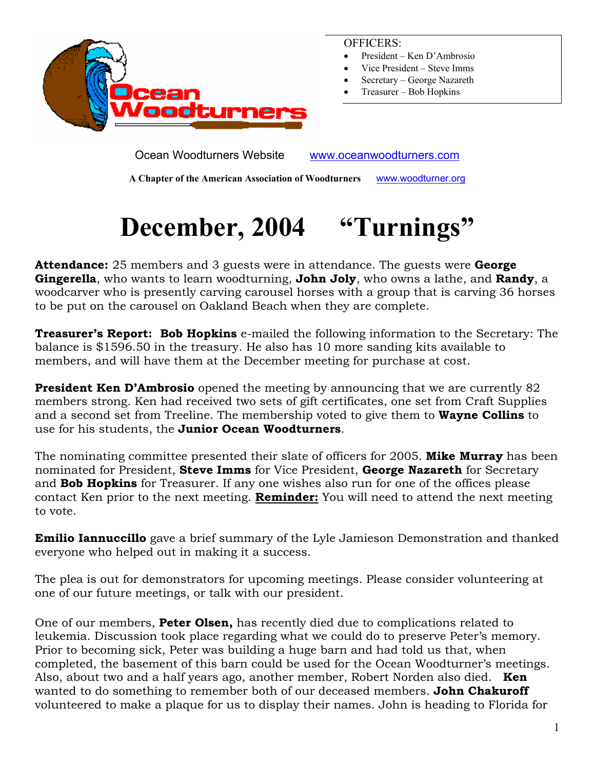

OFFICERS:

- President Ken D'Ambrosio
- Vice President Steve Imms
- Secretary George Nazareth
- Treasurer Bob Hopkins

Ocean Woodturners Website www.oceanwoodturners.com

**A Chapter of the American Association of Woodturners** www.woodturner.org

# **December, 2004 "Turnings"**

**Attendance:** 25 members and 3 guests were in attendance. The guests were **George Gingerella**, who wants to learn woodturning, **John Joly**, who owns a lathe, and **Randy**, a woodcarver who is presently carving carousel horses with a group that is carving 36 horses to be put on the carousel on Oakland Beach when they are complete.

**Treasurer's Report: Bob Hopkins** e-mailed the following information to the Secretary: The balance is \$1596.50 in the treasury. He also has 10 more sanding kits available to members, and will have them at the December meeting for purchase at cost.

**President Ken D'Ambrosio** opened the meeting by announcing that we are currently 82 members strong. Ken had received two sets of gift certificates, one set from Craft Supplies and a second set from Treeline. The membership voted to give them to **Wayne Collins** to use for his students, the **Junior Ocean Woodturners**.

The nominating committee presented their slate of officers for 2005. **Mike Murray** has been nominated for President, **Steve Imms** for Vice President, **George Nazareth** for Secretary and **Bob Hopkins** for Treasurer. If any one wishes also run for one of the offices please contact Ken prior to the next meeting. **Reminder:** You will need to attend the next meeting to vote.

**Emilio Iannuccillo** gave a brief summary of the Lyle Jamieson Demonstration and thanked everyone who helped out in making it a success.

The plea is out for demonstrators for upcoming meetings. Please consider volunteering at one of our future meetings, or talk with our president.

One of our members, **Peter Olsen,** has recently died due to complications related to leukemia. Discussion took place regarding what we could do to preserve Peter's memory. Prior to becoming sick, Peter was building a huge barn and had told us that, when completed, the basement of this barn could be used for the Ocean Woodturner's meetings. Also, about two and a half years ago, another member, Robert Norden also died. **Ken**  wanted to do something to remember both of our deceased members. **John Chakuroff**  volunteered to make a plaque for us to display their names. John is heading to Florida for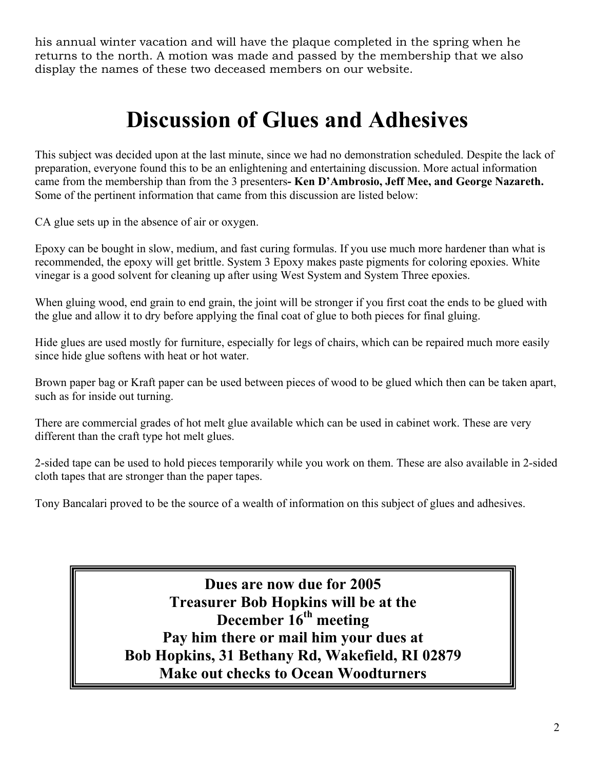his annual winter vacation and will have the plaque completed in the spring when he returns to the north. A motion was made and passed by the membership that we also display the names of these two deceased members on our website.

### **Discussion of Glues and Adhesives**

This subject was decided upon at the last minute, since we had no demonstration scheduled. Despite the lack of preparation, everyone found this to be an enlightening and entertaining discussion. More actual information came from the membership than from the 3 presenters**- Ken D'Ambrosio, Jeff Mee, and George Nazareth.**  Some of the pertinent information that came from this discussion are listed below:

CA glue sets up in the absence of air or oxygen.

Epoxy can be bought in slow, medium, and fast curing formulas. If you use much more hardener than what is recommended, the epoxy will get brittle. System 3 Epoxy makes paste pigments for coloring epoxies. White vinegar is a good solvent for cleaning up after using West System and System Three epoxies.

When gluing wood, end grain to end grain, the joint will be stronger if you first coat the ends to be glued with the glue and allow it to dry before applying the final coat of glue to both pieces for final gluing.

Hide glues are used mostly for furniture, especially for legs of chairs, which can be repaired much more easily since hide glue softens with heat or hot water.

Brown paper bag or Kraft paper can be used between pieces of wood to be glued which then can be taken apart, such as for inside out turning.

There are commercial grades of hot melt glue available which can be used in cabinet work. These are very different than the craft type hot melt glues.

2-sided tape can be used to hold pieces temporarily while you work on them. These are also available in 2-sided cloth tapes that are stronger than the paper tapes.

Tony Bancalari proved to be the source of a wealth of information on this subject of glues and adhesives.

**Dues are now due for 2005 Treasurer Bob Hopkins will be at the December 16th meeting Pay him there or mail him your dues at Bob Hopkins, 31 Bethany Rd, Wakefield, RI 02879 Make out checks to Ocean Woodturners**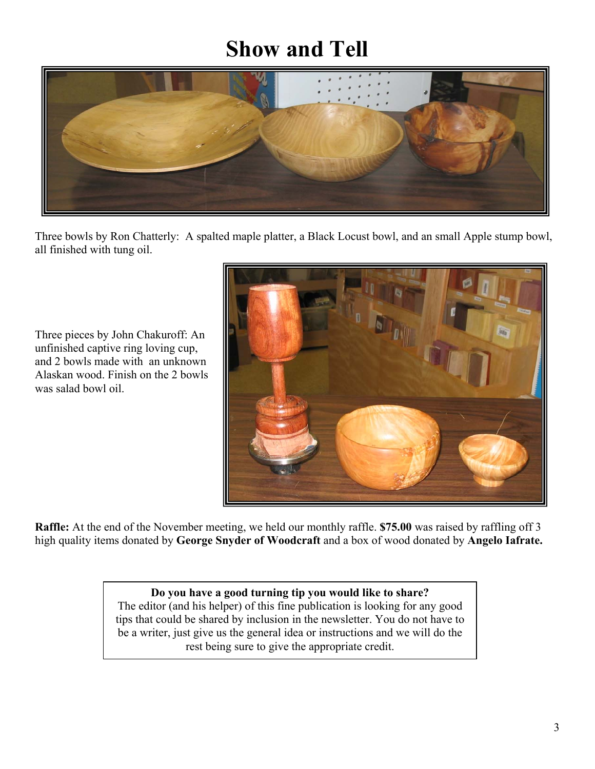## **Show and Tell**



Three bowls by Ron Chatterly: A spalted maple platter, a Black Locust bowl, and an small Apple stump bowl, all finished with tung oil.

Three pieces by John Chakuroff: An Alaskan wood. Finish on the 2 bowls was salad bowl oil. unfinished captive ring loving cup, and 2 bowls made with an unknown



**Raffle:** At the end of the November meeting, we held our monthly raffle. **\$75.00** was raised by raffling off 3 high quality items donated by **George Snyder of Woodcraft** and a box of wood donated by **Angelo Iafrate.** 

#### **Do you have a good turning tip you would like to share?**

The editor (and his helper) of this fine publication is looking for any good tips that could be shared by inclusion in the newsletter. You do not have to be a writer, just give us the general idea or instructions and we will do the rest being sure to give the appropriate credit.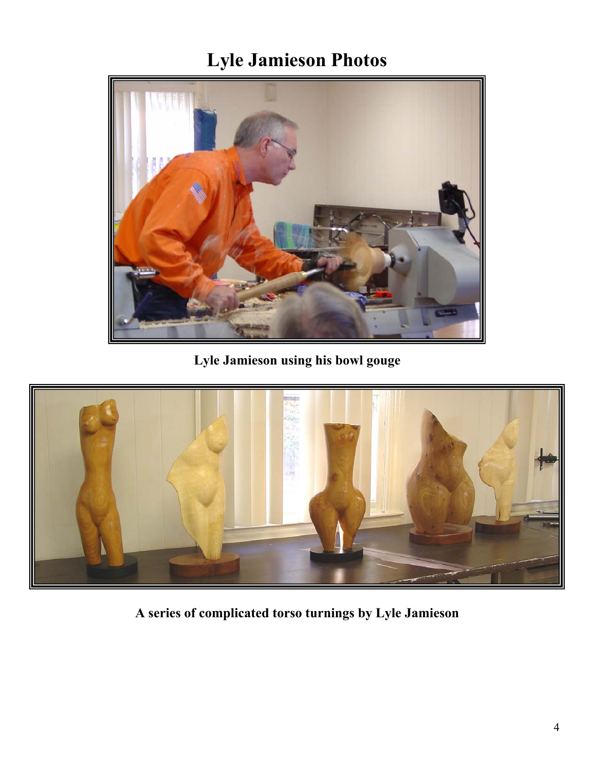### **Lyle Jamieson Photos**



**Lyle Jamieson using his bowl gouge** 



**A series of complicated torso turnings by Lyle Jamieson**